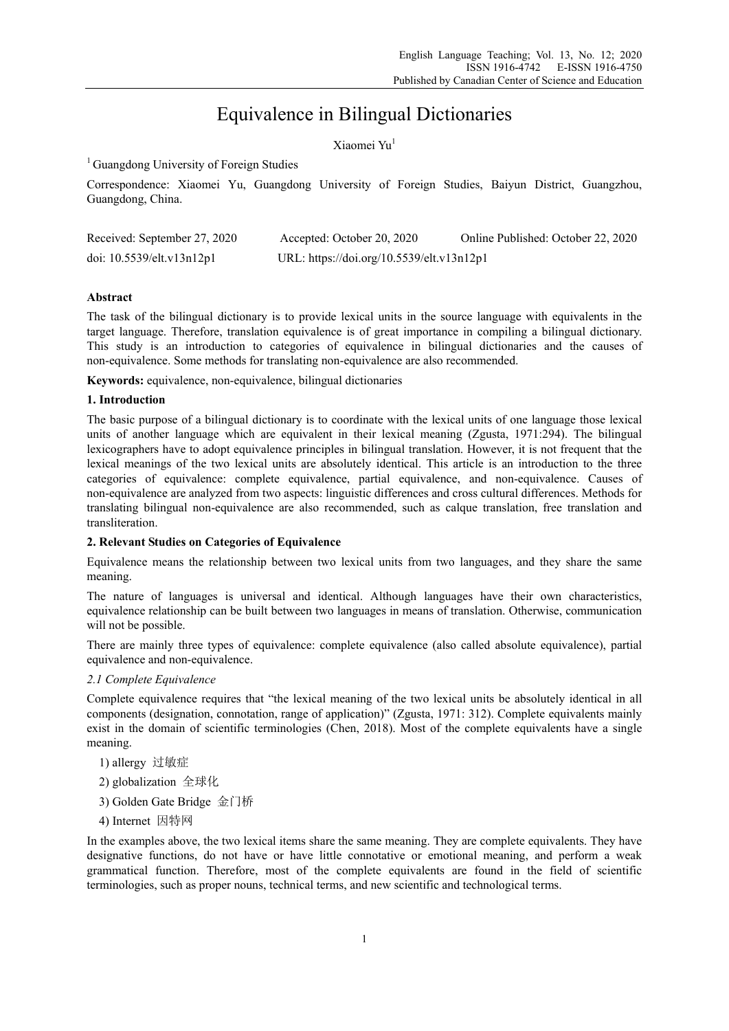# Equivalence in Bilingual Dictionaries

Xiaomei Yu<sup>1</sup>

<sup>1</sup> Guangdong University of Foreign Studies

Correspondence: Xiaomei Yu, Guangdong University of Foreign Studies, Baiyun District, Guangzhou, Guangdong, China.

| Received: September 27, 2020 | Accepted: October 20, 2020                | Online Published: October 22, 2020 |
|------------------------------|-------------------------------------------|------------------------------------|
| doi: 10.5539/elt.v13n12p1    | URL: https://doi.org/10.5539/elt.v13n12p1 |                                    |

## **Abstract**

The task of the bilingual dictionary is to provide lexical units in the source language with equivalents in the target language. Therefore, translation equivalence is of great importance in compiling a bilingual dictionary. This study is an introduction to categories of equivalence in bilingual dictionaries and the causes of non-equivalence. Some methods for translating non-equivalence are also recommended.

**Keywords:** equivalence, non-equivalence, bilingual dictionaries

## **1. Introduction**

The basic purpose of a bilingual dictionary is to coordinate with the lexical units of one language those lexical units of another language which are equivalent in their lexical meaning (Zgusta, 1971:294). The bilingual lexicographers have to adopt equivalence principles in bilingual translation. However, it is not frequent that the lexical meanings of the two lexical units are absolutely identical. This article is an introduction to the three categories of equivalence: complete equivalence, partial equivalence, and non-equivalence. Causes of non-equivalence are analyzed from two aspects: linguistic differences and cross cultural differences. Methods for translating bilingual non-equivalence are also recommended, such as calque translation, free translation and transliteration.

## **2. Relevant Studies on Categories of Equivalence**

Equivalence means the relationship between two lexical units from two languages, and they share the same meaning.

The nature of languages is universal and identical. Although languages have their own characteristics, equivalence relationship can be built between two languages in means of translation. Otherwise, communication will not be possible.

There are mainly three types of equivalence: complete equivalence (also called absolute equivalence), partial equivalence and non-equivalence.

## *2.1 Complete Equivalence*

Complete equivalence requires that "the lexical meaning of the two lexical units be absolutely identical in all components (designation, connotation, range of application)" (Zgusta, 1971: 312). Complete equivalents mainly exist in the domain of scientific terminologies (Chen, 2018). Most of the complete equivalents have a single meaning.

- 1) allergy 过敏症
- 2) globalization 全球化
- 3) Golden Gate Bridge 金门桥
- 4) Internet 因特网

In the examples above, the two lexical items share the same meaning. They are complete equivalents. They have designative functions, do not have or have little connotative or emotional meaning, and perform a weak grammatical function. Therefore, most of the complete equivalents are found in the field of scientific terminologies, such as proper nouns, technical terms, and new scientific and technological terms.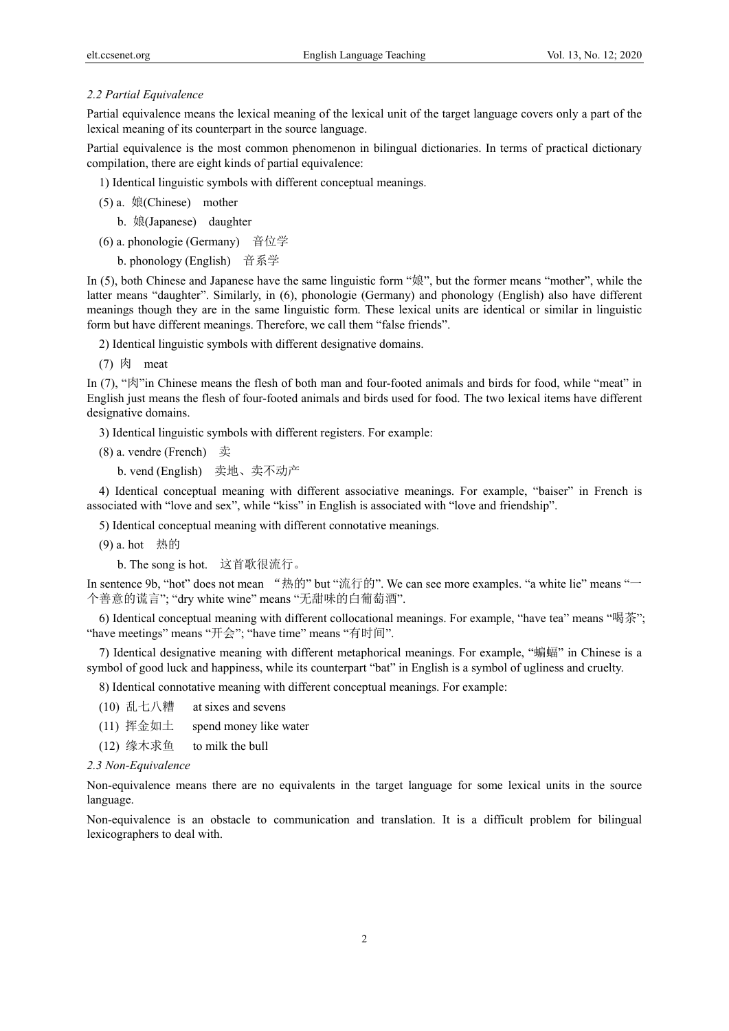#### *2.2 Partial Equivalence*

Partial equivalence means the lexical meaning of the lexical unit of the target language covers only a part of the lexical meaning of its counterpart in the source language.

Partial equivalence is the most common phenomenon in bilingual dictionaries. In terms of practical dictionary compilation, there are eight kinds of partial equivalence:

1) Identical linguistic symbols with different conceptual meanings.

- (5) a. 娘(Chinese) mother
	- b. 娘(Japanese) daughter
- (6) a. phonologie (Germany) 音位学
	- b. phonology (English) 音系学

In (5), both Chinese and Japanese have the same linguistic form "娘", but the former means "mother", while the latter means "daughter". Similarly, in (6), phonologie (Germany) and phonology (English) also have different meanings though they are in the same linguistic form. These lexical units are identical or similar in linguistic form but have different meanings. Therefore, we call them "false friends".

2) Identical linguistic symbols with different designative domains.

 $(7)$  肉 meat

In (7), " $\mathbb{R}$ "in Chinese means the flesh of both man and four-footed animals and birds for food, while "meat" in English just means the flesh of four-footed animals and birds used for food. The two lexical items have different designative domains.

3) Identical linguistic symbols with different registers. For example:

- (8) a. vendre (French) 卖
	- b. vend (English) 卖地、卖不动产

4) Identical conceptual meaning with different associative meanings. For example, "baiser" in French is associated with "love and sex", while "kiss" in English is associated with "love and friendship".

5) Identical conceptual meaning with different connotative meanings.

(9) a. hot 热的

b. The song is hot. 这首歌很流行。

In sentence 9b, "hot" does not mean "热的" but "流行的". We can see more examples. "a white lie" means "一 个善意的谎言"; "dry white wine" means "无甜味的白葡萄酒".

6) Identical conceptual meaning with different collocational meanings. For example, "have tea" means "喝茶"; "have meetings" means "开会"; "have time" means "有时间".

7) Identical designative meaning with different metaphorical meanings. For example, "蝙蝠" in Chinese is a symbol of good luck and happiness, while its counterpart "bat" in English is a symbol of ugliness and cruelty.

8) Identical connotative meaning with different conceptual meanings. For example:

- (10) 乱七八糟 at sixes and sevens
- (11) 挥金如土 spend money like water
- (12) 缘木求鱼 to milk the bull

#### *2.3 Non-Equivalence*

Non-equivalence means there are no equivalents in the target language for some lexical units in the source language.

Non-equivalence is an obstacle to communication and translation. It is a difficult problem for bilingual lexicographers to deal with.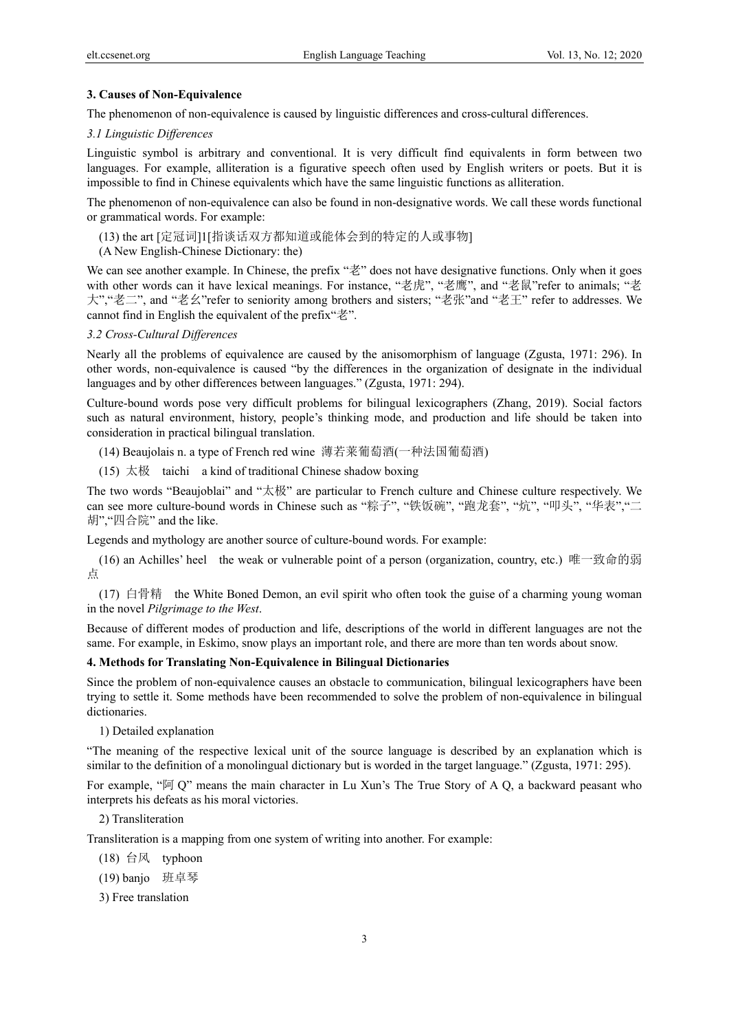## **3. Causes of Non-Equivalence**

The phenomenon of non-equivalence is caused by linguistic differences and cross-cultural differences.

## *3.1 Linguistic Differences*

Linguistic symbol is arbitrary and conventional. It is very difficult find equivalents in form between two languages. For example, alliteration is a figurative speech often used by English writers or poets. But it is impossible to find in Chinese equivalents which have the same linguistic functions as alliteration.

The phenomenon of non-equivalence can also be found in non-designative words. We call these words functional or grammatical words. For example:

(13) the art [定冠词]1[指谈话双方都知道或能体会到的特定的人或事物]

(A New English-Chinese Dictionary: the)

We can see another example. In Chinese, the prefix "老" does not have designative functions. Only when it goes with other words can it have lexical meanings. For instance, "老虎", "老鹰", and "老鼠"refer to animals; "老 大","老二", and "老幺"refer to seniority among brothers and sisters; "老张"and "老王" refer to addresses. We cannot find in English the equivalent of the prefix"老".

#### *3.2 Cross-Cultural Differences*

Nearly all the problems of equivalence are caused by the anisomorphism of language (Zgusta, 1971: 296). In other words, non-equivalence is caused "by the differences in the organization of designate in the individual languages and by other differences between languages." (Zgusta, 1971: 294).

Culture-bound words pose very difficult problems for bilingual lexicographers (Zhang, 2019). Social factors such as natural environment, history, people's thinking mode, and production and life should be taken into consideration in practical bilingual translation.

(14) Beaujolais n. a type of French red wine 薄若莱葡萄酒(一种法国葡萄酒)

(15) 太极 taichi a kind of traditional Chinese shadow boxing

The two words "Beaujoblai" and "太极" are particular to French culture and Chinese culture respectively. We can see more culture-bound words in Chinese such as "粽子", "铁饭碗", "跑龙套", "炕", "叩头", "华表","二 胡","四合院" and the like.

Legends and mythology are another source of culture-bound words. For example:

(16) an Achilles' heel the weak or vulnerable point of a person (organization, country, etc.) 唯一致命的弱 点

(17) 白骨精 the White Boned Demon, an evil spirit who often took the guise of a charming young woman in the novel *Pilgrimage to the West*.

Because of different modes of production and life, descriptions of the world in different languages are not the same. For example, in Eskimo, snow plays an important role, and there are more than ten words about snow.

#### **4. Methods for Translating Non-Equivalence in Bilingual Dictionaries**

Since the problem of non-equivalence causes an obstacle to communication, bilingual lexicographers have been trying to settle it. Some methods have been recommended to solve the problem of non-equivalence in bilingual dictionaries.

1) Detailed explanation

"The meaning of the respective lexical unit of the source language is described by an explanation which is similar to the definition of a monolingual dictionary but is worded in the target language." (Zgusta, 1971: 295).

For example, "阿 Q" means the main character in Lu Xun's The True Story of A Q, a backward peasant who interprets his defeats as his moral victories.

2) Transliteration

Transliteration is a mapping from one system of writing into another. For example:

(18) 台风 typhoon

- (19) banjo 班卓琴
- 3) Free translation